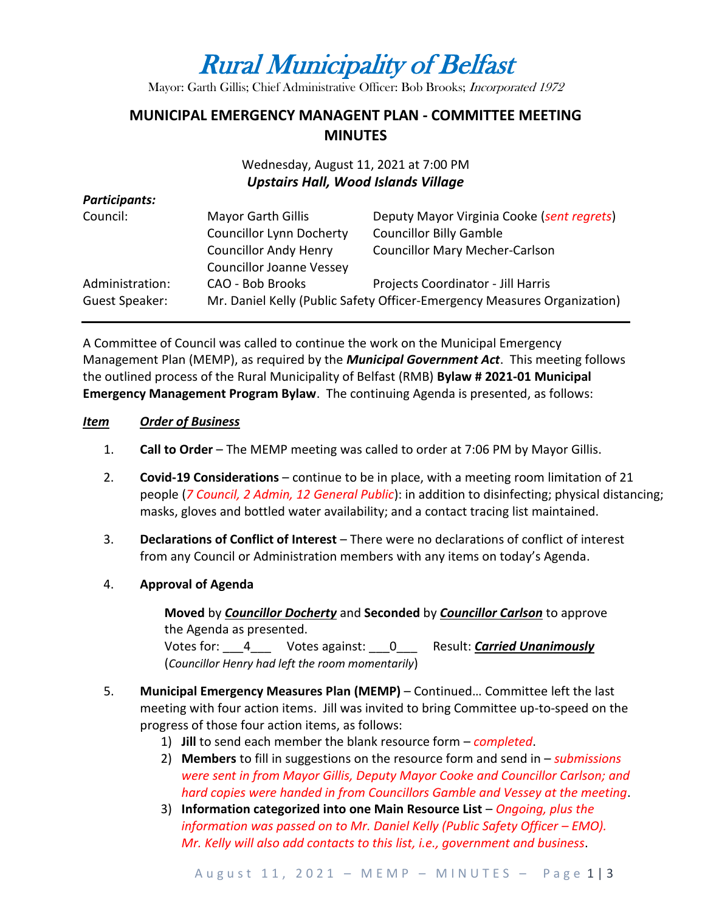# Rural Municipality of Belfast

Mayor: Garth Gillis; Chief Administrative Officer: Bob Brooks; Incorporated 1972

# **MUNICIPAL EMERGENCY MANAGENT PLAN - COMMITTEE MEETING MINUTES**

## Wednesday, August 11, 2021 at 7:00 PM *Upstairs Hall, Wood Islands Village*

#### *Participants:*

| Council:                          | <b>Mayor Garth Gillis</b><br><b>Councillor Lynn Docherty</b>    | Deputy Mayor Virginia Cooke (sent regrets)<br><b>Councillor Billy Gamble</b>                                   |
|-----------------------------------|-----------------------------------------------------------------|----------------------------------------------------------------------------------------------------------------|
|                                   | <b>Councillor Andy Henry</b><br><b>Councillor Joanne Vessey</b> | <b>Councillor Mary Mecher-Carlson</b>                                                                          |
| Administration:<br>Guest Speaker: | CAO - Bob Brooks                                                | Projects Coordinator - Jill Harris<br>Mr. Daniel Kelly (Public Safety Officer-Emergency Measures Organization) |

A Committee of Council was called to continue the work on the Municipal Emergency Management Plan (MEMP), as required by the *Municipal Government Act*. This meeting follows the outlined process of the Rural Municipality of Belfast (RMB) **Bylaw # 2021-01 Municipal Emergency Management Program Bylaw**. The continuing Agenda is presented, as follows:

#### *Item Order of Business*

- 1. **Call to Order** The MEMP meeting was called to order at 7:06 PM by Mayor Gillis.
- 2. **Covid-19 Considerations**  continue to be in place, with a meeting room limitation of 21 people (*7 Council, 2 Admin, 12 General Public*): in addition to disinfecting; physical distancing; masks, gloves and bottled water availability; and a contact tracing list maintained.
- 3. **Declarations of Conflict of Interest** There were no declarations of conflict of interest from any Council or Administration members with any items on today's Agenda.
- 4. **Approval of Agenda**

**Moved** by *Councillor Docherty* and **Seconded** by *Councillor Carlson* to approve the Agenda as presented. Votes for: \_\_\_4\_\_\_ Votes against: \_\_\_0\_\_\_ Result: *Carried Unanimously*

(*Councillor Henry had left the room momentarily*)

- 5. **Municipal Emergency Measures Plan (MEMP)** Continued… Committee left the last meeting with four action items. Jill was invited to bring Committee up-to-speed on the progress of those four action items, as follows:
	- 1) **Jill** to send each member the blank resource form *completed*.
	- 2) **Members** to fill in suggestions on the resource form and send in *submissions were sent in from Mayor Gillis, Deputy Mayor Cooke and Councillor Carlson; and hard copies were handed in from Councillors Gamble and Vessey at the meeting*.
	- 3) **Information categorized into one Main Resource List** *Ongoing, plus the information was passed on to Mr. Daniel Kelly (Public Safety Officer – EMO). Mr. Kelly will also add contacts to this list, i.e., government and business*.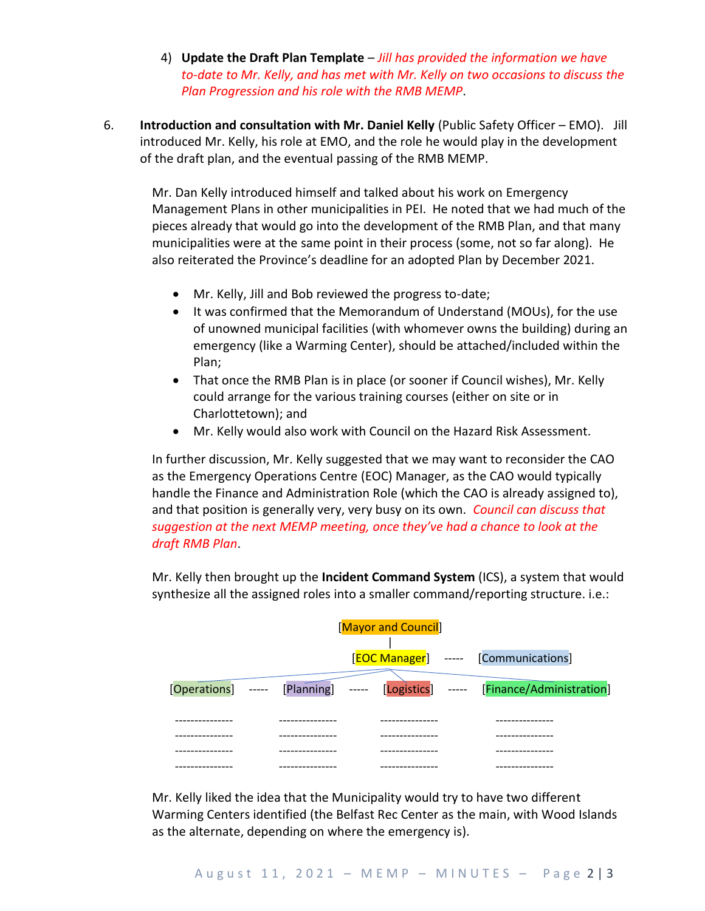- 4) **Update the Draft Plan Template**  *Jill has provided the information we have to-date to Mr. Kelly, and has met with Mr. Kelly on two occasions to discuss the Plan Progression and his role with the RMB MEMP*.
- 6. **Introduction and consultation with Mr. Daniel Kelly** (Public Safety Officer EMO). Jill introduced Mr. Kelly, his role at EMO, and the role he would play in the development of the draft plan, and the eventual passing of the RMB MEMP.

Mr. Dan Kelly introduced himself and talked about his work on Emergency Management Plans in other municipalities in PEI. He noted that we had much of the pieces already that would go into the development of the RMB Plan, and that many municipalities were at the same point in their process (some, not so far along). He also reiterated the Province's deadline for an adopted Plan by December 2021.

- Mr. Kelly, Jill and Bob reviewed the progress to-date;
- It was confirmed that the Memorandum of Understand (MOUs), for the use of unowned municipal facilities (with whomever owns the building) during an emergency (like a Warming Center), should be attached/included within the Plan;
- That once the RMB Plan is in place (or sooner if Council wishes), Mr. Kelly could arrange for the various training courses (either on site or in Charlottetown); and
- Mr. Kelly would also work with Council on the Hazard Risk Assessment.

In further discussion, Mr. Kelly suggested that we may want to reconsider the CAO as the Emergency Operations Centre (EOC) Manager, as the CAO would typically handle the Finance and Administration Role (which the CAO is already assigned to), and that position is generally very, very busy on its own. *Council can discuss that suggestion at the next MEMP meeting, once they've had a chance to look at the draft RMB Plan*.

Mr. Kelly then brought up the **Incident Command System** (ICS), a system that would synthesize all the assigned roles into a smaller command/reporting structure. i.e.:

| [Mayor and Council] |  |  |  |                                                                                |  |  |
|---------------------|--|--|--|--------------------------------------------------------------------------------|--|--|
|                     |  |  |  |                                                                                |  |  |
|                     |  |  |  | [EOC Manager] ----- [Communications]                                           |  |  |
|                     |  |  |  | [Operations] ----- [Planning] ----- [Logistics] ----- [Finance/Administration] |  |  |
|                     |  |  |  |                                                                                |  |  |
|                     |  |  |  |                                                                                |  |  |
|                     |  |  |  |                                                                                |  |  |
|                     |  |  |  |                                                                                |  |  |

Mr. Kelly liked the idea that the Municipality would try to have two different Warming Centers identified (the Belfast Rec Center as the main, with Wood Islands as the alternate, depending on where the emergency is).